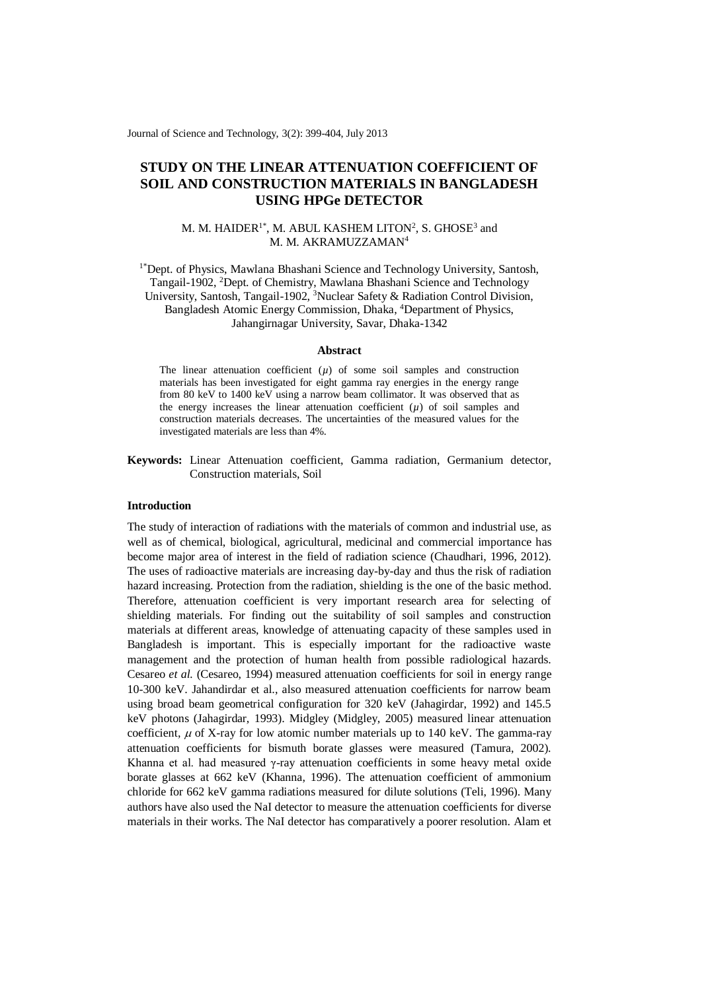Journal of Science and Technology, 3(2): 399-404, July 2013

# **STUDY ON THE LINEAR ATTENUATION COEFFICIENT OF SOIL AND CONSTRUCTION MATERIALS IN BANGLADESH USING HPGe DETECTOR**

## M. M. HAIDER<sup>1\*</sup>, M. ABUL KASHEM LITON<sup>2</sup>, S. GHOSE<sup>3</sup> and M. M. AKRAMUZZAMAN<sup>4</sup>

<sup>1\*</sup>Dept. of Physics, Mawlana Bhashani Science and Technology University, Santosh, Tangail-1902, <sup>2</sup>Dept. of Chemistry, Mawlana Bhashani Science and Technology University, Santosh, Tangail-1902, <sup>3</sup>Nuclear Safety & Radiation Control Division, Bangladesh Atomic Energy Commission, Dhaka, <sup>4</sup>Department of Physics, Jahangirnagar University, Savar, Dhaka-1342

#### **Abstract**

The linear attenuation coefficient (*u*) of some soil samples and construction materials has been investigated for eight gamma ray energies in the energy range from 80 keV to 1400 keV using a narrow beam collimator. It was observed that as the energy increases the linear attenuation coefficient  $(\mu)$  of soil samples and construction materials decreases. The uncertainties of the measured values for the investigated materials are less than 4%.

**Keywords:** Linear Attenuation coefficient, Gamma radiation, Germanium detector, Construction materials, Soil

#### **Introduction**

The study of interaction of radiations with the materials of common and industrial use, as well as of chemical, biological, agricultural, medicinal and commercial importance has become major area of interest in the field of radiation science (Chaudhari, 1996, 2012). The uses of radioactive materials are increasing day-by-day and thus the risk of radiation hazard increasing. Protection from the radiation, shielding is the one of the basic method. Therefore, attenuation coefficient is very important research area for selecting of shielding materials. For finding out the suitability of soil samples and construction materials at different areas, knowledge of attenuating capacity of these samples used in Bangladesh is important. This is especially important for the radioactive waste management and the protection of human health from possible radiological hazards. Cesareo *et al.* (Cesareo, 1994) measured attenuation coefficients for soil in energy range 10-300 keV. Jahandirdar et al., also measured attenuation coefficients for narrow beam using broad beam geometrical configuration for 320 keV (Jahagirdar, 1992) and 145.5 keV photons (Jahagirdar, 1993). Midgley (Midgley, 2005) measured linear attenuation coefficient,  $\mu$  of X-ray for low atomic number materials up to 140 keV. The gamma-ray attenuation coefficients for bismuth borate glasses were measured (Tamura, 2002). Khanna et al. had measured γ-ray attenuation coefficients in some heavy metal oxide borate glasses at 662 keV (Khanna, 1996). The attenuation coefficient of ammonium chloride for 662 keV gamma radiations measured for dilute solutions (Teli, 1996). Many authors have also used the NaI detector to measure the attenuation coefficients for diverse materials in their works. The NaI detector has comparatively a poorer resolution. Alam et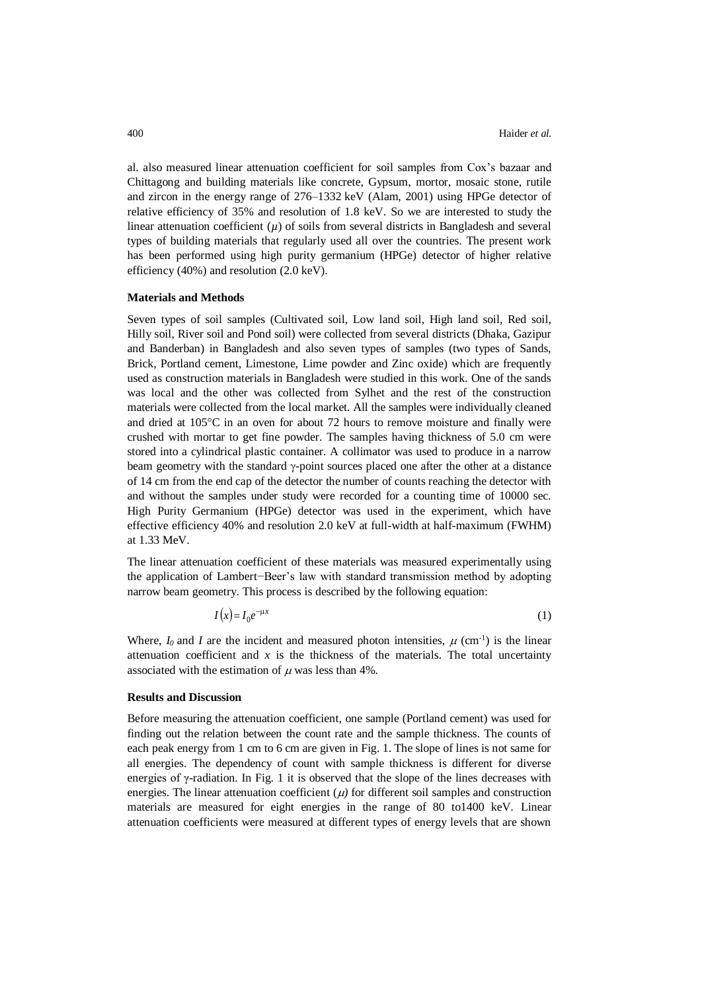al. also measured linear attenuation coefficient for soil samples from Cox's bazaar and Chittagong and building materials like concrete, Gypsum, mortor, mosaic stone, rutile and zircon in the energy range of 276–1332 keV (Alam, 2001) using HPGe detector of relative efficiency of 35% and resolution of 1.8 keV. So we are interested to study the linear attenuation coefficient  $(\mu)$  of soils from several districts in Bangladesh and several types of building materials that regularly used all over the countries. The present work has been performed using high purity germanium (HPGe) detector of higher relative efficiency (40%) and resolution (2.0 keV).

#### **Materials and Methods**

Seven types of soil samples (Cultivated soil, Low land soil, High land soil, Red soil, Hilly soil, River soil and Pond soil) were collected from several districts (Dhaka, Gazipur and Banderban) in Bangladesh and also seven types of samples (two types of Sands, Brick, Portland cement, Limestone, Lime powder and Zinc oxide) which are frequently used as construction materials in Bangladesh were studied in this work. One of the sands was local and the other was collected from Sylhet and the rest of the construction materials were collected from the local market. All the samples were individually cleaned and dried at  $105^{\circ}$ C in an oven for about 72 hours to remove moisture and finally were crushed with mortar to get fine powder. The samples having thickness of 5.0 cm were stored into a cylindrical plastic container. A collimator was used to produce in a narrow beam geometry with the standard  $\gamma$ -point sources placed one after the other at a distance of 14 cm from the end cap of the detector the number of counts reaching the detector with and without the samples under study were recorded for a counting time of 10000 sec. High Purity Germanium (HPGe) detector was used in the experiment, which have effective efficiency 40% and resolution 2.0 keV at full-width at half-maximum (FWHM) at 1.33 MeV.

The linear attenuation coefficient of these materials was measured experimentally using the application of Lambert−Beer's law with standard transmission method by adopting narrow beam geometry. This process is described by the following equation:

$$
I(x) = I_0 e^{-\mu x} \tag{1}
$$

Where,  $I_0$  and  $I$  are the incident and measured photon intensities,  $\mu$  (cm<sup>-1</sup>) is the linear attenuation coefficient and  $x$  is the thickness of the materials. The total uncertainty associated with the estimation of  $\mu$  was less than 4%.

#### **Results and Discussion**

Before measuring the attenuation coefficient, one sample (Portland cement) was used for finding out the relation between the count rate and the sample thickness. The counts of each peak energy from 1 cm to 6 cm are given in Fig. 1. The slope of lines is not same for all energies. The dependency of count with sample thickness is different for diverse energies of  $\gamma$ -radiation. In Fig. 1 it is observed that the slope of the lines decreases with energies. The linear attenuation coefficient  $(\mu)$  for different soil samples and construction materials are measured for eight energies in the range of 80 to1400 keV. Linear attenuation coefficients were measured at different types of energy levels that are shown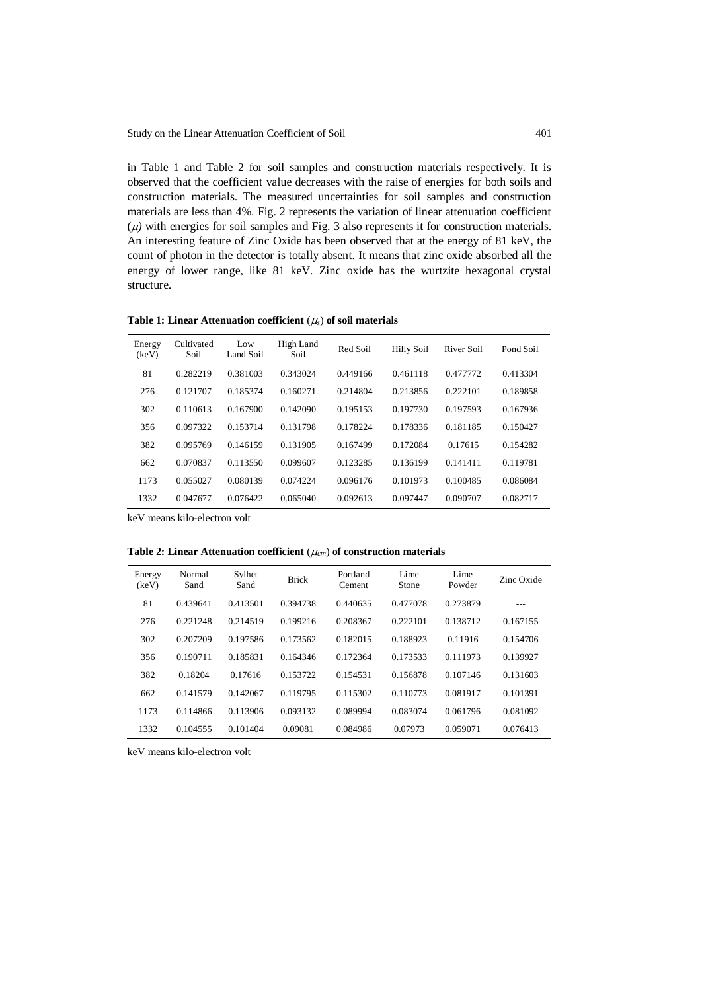in Table 1 and Table 2 for soil samples and construction materials respectively. It is observed that the coefficient value decreases with the raise of energies for both soils and construction materials. The measured uncertainties for soil samples and construction materials are less than 4%. Fig. 2 represents the variation of linear attenuation coefficient  $(\mu)$  with energies for soil samples and Fig. 3 also represents it for construction materials. An interesting feature of Zinc Oxide has been observed that at the energy of 81 keV, the count of photon in the detector is totally absent. It means that zinc oxide absorbed all the energy of lower range, like 81 keV. Zinc oxide has the wurtzite hexagonal crystal structure.

**Table 1: Linear Attenuation coefficient**  $(\mu_s)$  of soil materials

| Energy<br>(keV) | Cultivated<br>Soil | Low<br>Land Soil | High Land<br>Soil | Red Soil | <b>Hilly Soil</b> | River Soil | Pond Soil |
|-----------------|--------------------|------------------|-------------------|----------|-------------------|------------|-----------|
| 81              | 0.282219           | 0.381003         | 0.343024          | 0.449166 | 0.461118          | 0.477772   | 0.413304  |
| 276             | 0.121707           | 0.185374         | 0.160271          | 0.214804 | 0.213856          | 0.222101   | 0.189858  |
| 302             | 0.110613           | 0.167900         | 0.142090          | 0.195153 | 0.197730          | 0.197593   | 0.167936  |
| 356             | 0.097322           | 0.153714         | 0.131798          | 0.178224 | 0.178336          | 0.181185   | 0.150427  |
| 382             | 0.095769           | 0.146159         | 0.131905          | 0.167499 | 0.172084          | 0.17615    | 0.154282  |
| 662             | 0.070837           | 0.113550         | 0.099607          | 0.123285 | 0.136199          | 0.141411   | 0.119781  |
| 1173            | 0.055027           | 0.080139         | 0.074224          | 0.096176 | 0.101973          | 0.100485   | 0.086084  |
| 1332            | 0.047677           | 0.076422         | 0.065040          | 0.092613 | 0.097447          | 0.090707   | 0.082717  |

keV means kilo-electron volt

**Table 2: Linear Attenuation coefficient**  $(\mu_{cm})$  of construction materials

| Energy<br>(keV) | Normal<br>Sand | Sylhet<br>Sand | <b>Brick</b> | Portland<br>Cement | Lime<br>Stone | Lime<br>Powder | Zinc Oxide |
|-----------------|----------------|----------------|--------------|--------------------|---------------|----------------|------------|
| 81              | 0.439641       | 0.413501       | 0.394738     | 0.440635           | 0.477078      | 0.273879       | ---        |
| 276             | 0.221248       | 0.214519       | 0.199216     | 0.208367           | 0.222101      | 0.138712       | 0.167155   |
| 302             | 0.207209       | 0.197586       | 0.173562     | 0.182015           | 0.188923      | 0.11916        | 0.154706   |
| 356             | 0.190711       | 0.185831       | 0.164346     | 0.172364           | 0.173533      | 0.111973       | 0.139927   |
| 382             | 0.18204        | 0.17616        | 0.153722     | 0.154531           | 0.156878      | 0.107146       | 0.131603   |
| 662             | 0.141579       | 0.142067       | 0.119795     | 0.115302           | 0.110773      | 0.081917       | 0.101391   |
| 1173            | 0.114866       | 0.113906       | 0.093132     | 0.089994           | 0.083074      | 0.061796       | 0.081092   |
| 1332            | 0.104555       | 0.101404       | 0.09081      | 0.084986           | 0.07973       | 0.059071       | 0.076413   |

keV means kilo-electron volt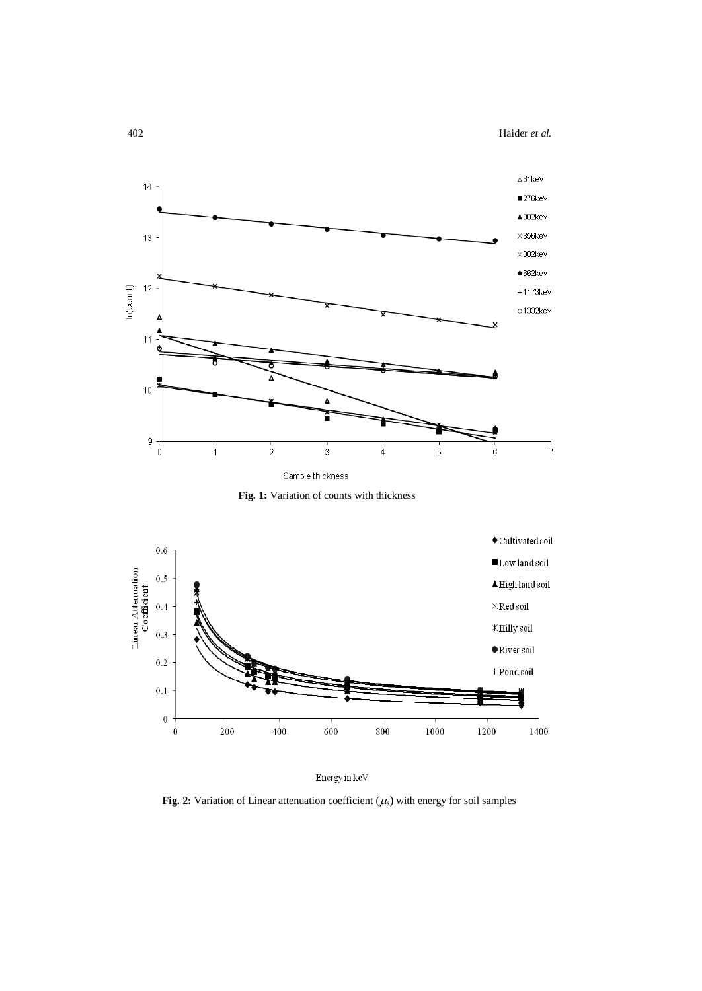



**Fig. 1:** Variation of counts with thickness



Energy in  $\rm keV$ 

**Fig. 2:** Variation of Linear attenuation coefficient  $(\mu_s)$  with energy for soil samples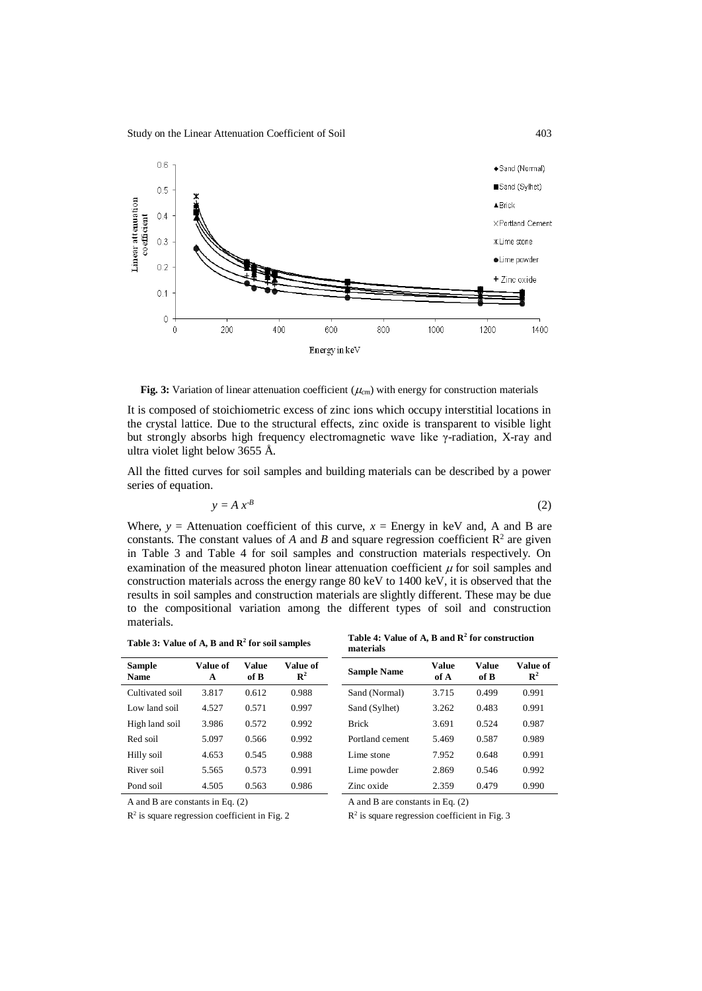Study on the Linear Attenuation Coefficient of Soil 403



**Fig. 3:** Variation of linear attenuation coefficient  $(\mu_{cm})$  with energy for construction materials

It is composed of stoichiometric excess of zinc ions which occupy interstitial locations in the crystal lattice. Due to the structural effects, zinc oxide is transparent to visible light but strongly absorbs high frequency electromagnetic wave like γ-radiation, X-ray and ultra violet light below 3655 Å.

All the fitted curves for soil samples and building materials can be described by a power series of equation.

$$
y = A x^{B}
$$
 (2)

Where,  $y =$  Attenuation coefficient of this curve,  $x =$  Energy in keV and, A and B are constants. The constant values of  $A$  and  $B$  and square regression coefficient  $R<sup>2</sup>$  are given in Table 3 and Table 4 for soil samples and construction materials respectively. On examination of the measured photon linear attenuation coefficient  $\mu$  for soil samples and construction materials across the energy range 80 keV to 1400 keV, it is observed that the results in soil samples and construction materials are slightly different. These may be due to the compositional variation among the different types of soil and construction materials.

| Sample<br><b>Name</b> | Value of<br>A | Value<br>of B | Value of<br>$\mathbb{R}^2$ | <b>Sample Name</b> | <b>Value</b><br>of A | Value<br>of B | <b>Value</b><br>$\mathbb{R}^2$ |
|-----------------------|---------------|---------------|----------------------------|--------------------|----------------------|---------------|--------------------------------|
| Cultivated soil       | 3.817         | 0.612         | 0.988                      | Sand (Normal)      | 3.715                | 0.499         | 0.991                          |
| Low land soil         | 4.527         | 0.571         | 0.997                      | Sand (Sylhet)      | 3.262                | 0.483         | 0.991                          |
| High land soil        | 3.986         | 0.572         | 0.992                      | <b>Brick</b>       | 3.691                | 0.524         | 0.987                          |
| Red soil              | 5.097         | 0.566         | 0.992                      | Portland cement    | 5.469                | 0.587         | 0.989                          |
| Hilly soil            | 4.653         | 0.545         | 0.988                      | Lime stone         | 7.952                | 0.648         | 0.991                          |
| River soil            | 5.565         | 0.573         | 0.991                      | Lime powder        | 2.869                | 0.546         | 0.992                          |
| Pond soil             | 4.505         | 0.563         | 0.986                      | Zinc oxide         | 2.359                | 0.479         | 0.990                          |

| Table 3: Value of A, B and $\mathbb{R}^2$ for soil samples | Table 4: Value of A, B and $\mathbb{R}^2$ for construction |
|------------------------------------------------------------|------------------------------------------------------------|
|                                                            | materials                                                  |

| Sample<br>Name  | Value of<br>A | Value<br>of B | Value of<br>$\mathbb{R}^2$ | <b>Sample Name</b> | <b>Value</b><br>of A | Value<br>of B | Value of<br>$\mathbb{R}^2$ |
|-----------------|---------------|---------------|----------------------------|--------------------|----------------------|---------------|----------------------------|
| Cultivated soil | 3.817         | 0.612         | 0.988                      | Sand (Normal)      | 3.715                | 0.499         | 0.991                      |
| Low land soil   | 4.527         | 0.571         | 0.997                      | Sand (Sylhet)      | 3.262                | 0.483         | 0.991                      |
| High land soil  | 3.986         | 0.572         | 0.992                      | <b>Brick</b>       | 3.691                | 0.524         | 0.987                      |
| Red soil        | 5.097         | 0.566         | 0.992                      | Portland cement    | 5.469                | 0.587         | 0.989                      |
| Hilly soil      | 4.653         | 0.545         | 0.988                      | Lime stone         | 7.952                | 0.648         | 0.991                      |
| River soil      | 5.565         | 0.573         | 0.991                      | Lime powder        | 2.869                | 0.546         | 0.992                      |
| Pond soil       | 4.505         | 0.563         | 0.986                      | Zinc oxide         | 2.359                | 0.479         | 0.990                      |

A and B are constants in Eq. (2)

R2 is square regression coefficient in Fig. 2

A and B are constants in Eq. (2)

R2 is square regression coefficient in Fig. 3